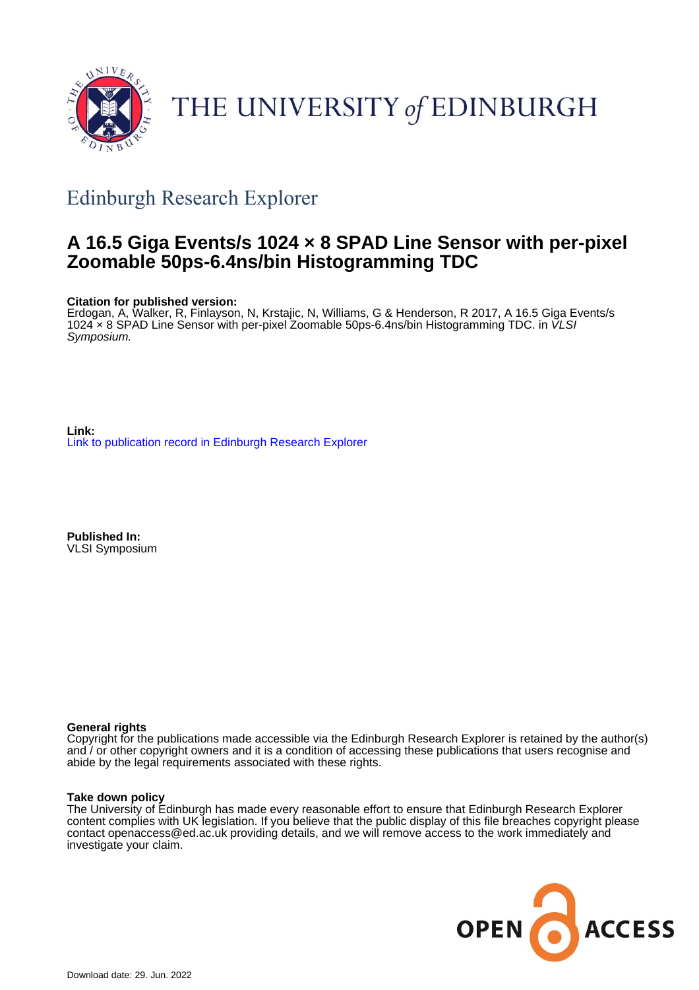

# THE UNIVERSITY of EDINBURGH

# Edinburgh Research Explorer

# **A 16.5 Giga Events/s 1024 × 8 SPAD Line Sensor with per-pixel Zoomable 50ps-6.4ns/bin Histogramming TDC**

# **Citation for published version:**

Erdogan, A, Walker, R, Finlayson, N, Krstajic, N, Williams, G & Henderson, R 2017, A 16.5 Giga Events/s 1024 × 8 SPAD Line Sensor with per-pixel Zoomable 50ps-6.4ns/bin Histogramming TDC. in VLSI Symposium.

**Link:** [Link to publication record in Edinburgh Research Explorer](https://www.research.ed.ac.uk/en/publications/c6ed2b5b-2800-4114-bca2-111082f445ff)

**Published In:** VLSI Symposium

# **General rights**

Copyright for the publications made accessible via the Edinburgh Research Explorer is retained by the author(s) and / or other copyright owners and it is a condition of accessing these publications that users recognise and abide by the legal requirements associated with these rights.

# **Take down policy**

The University of Edinburgh has made every reasonable effort to ensure that Edinburgh Research Explorer content complies with UK legislation. If you believe that the public display of this file breaches copyright please contact openaccess@ed.ac.uk providing details, and we will remove access to the work immediately and investigate your claim.

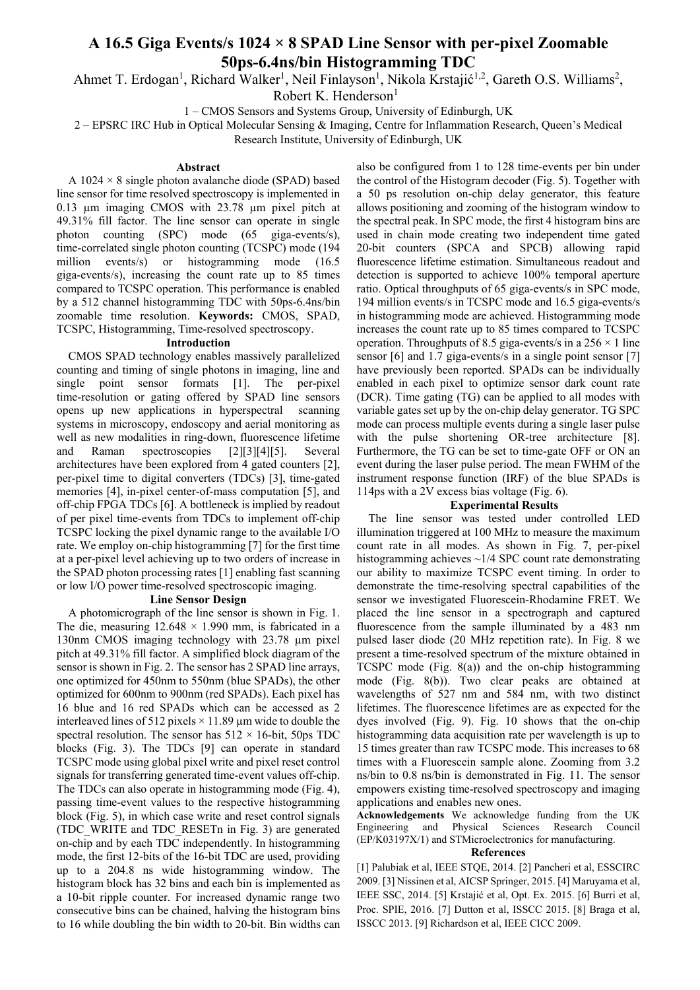# **A 16.5 Giga Events/s 1024 × 8 SPAD Line Sensor with per-pixel Zoomable 50ps-6.4ns/bin Histogramming TDC**

Ahmet T. Erdogan<sup>1</sup>, Richard Walker<sup>1</sup>, Neil Finlayson<sup>1</sup>, Nikola Krstajić<sup>1,2</sup>, Gareth O.S. Williams<sup>2</sup>,

Robert K. Henderson<sup>1</sup>

1 – CMOS Sensors and Systems Group, University of Edinburgh, UK

2 – EPSRC IRC Hub in Optical Molecular Sensing & Imaging, Centre for Inflammation Research, Queen's Medical Research Institute, University of Edinburgh, UK

## **Abstract**

A  $1024 \times 8$  single photon avalanche diode (SPAD) based line sensor for time resolved spectroscopy is implemented in 0.13 µm imaging CMOS with 23.78 µm pixel pitch at 49.31% fill factor. The line sensor can operate in single photon counting (SPC) mode (65 giga-events/s), time-correlated single photon counting (TCSPC) mode (194 million events/s) or histogramming mode (16.5) giga-events/s), increasing the count rate up to 85 times compared to TCSPC operation. This performance is enabled by a 512 channel histogramming TDC with 50ps-6.4ns/bin zoomable time resolution. **Keywords:** CMOS, SPAD, TCSPC, Histogramming, Time-resolved spectroscopy.

## **Introduction**

CMOS SPAD technology enables massively parallelized counting and timing of single photons in imaging, line and single point sensor formats [1]. The per-pixel time-resolution or gating offered by SPAD line sensors opens up new applications in hyperspectral scanning systems in microscopy, endoscopy and aerial monitoring as well as new modalities in ring-down, fluorescence lifetime and Raman spectroscopies [2][3][4][5]. Several architectures have been explored from 4 gated counters [2], per-pixel time to digital converters (TDCs) [3], time-gated memories [4], in-pixel center-of-mass computation [5], and off-chip FPGA TDCs [6]. A bottleneck is implied by readout of per pixel time-events from TDCs to implement off-chip TCSPC locking the pixel dynamic range to the available I/O rate. We employ on-chip histogramming [7] for the first time at a per-pixel level achieving up to two orders of increase in the SPAD photon processing rates [1] enabling fast scanning or low I/O power time-resolved spectroscopic imaging.

### **Line Sensor Design**

A photomicrograph of the line sensor is shown in Fig. 1. The die, measuring  $12.648 \times 1.990$  mm, is fabricated in a 130nm CMOS imaging technology with 23.78 µm pixel pitch at 49.31% fill factor. A simplified block diagram of the sensor is shown in Fig. 2. The sensor has 2 SPAD line arrays, one optimized for 450nm to 550nm (blue SPADs), the other optimized for 600nm to 900nm (red SPADs). Each pixel has 16 blue and 16 red SPADs which can be accessed as 2 interleaved lines of 512 pixels  $\times$  11.89 µm wide to double the spectral resolution. The sensor has  $512 \times 16$ -bit, 50ps TDC blocks (Fig. 3). The TDCs [9] can operate in standard TCSPC mode using global pixel write and pixel reset control signals for transferring generated time-event values off-chip. The TDCs can also operate in histogramming mode (Fig. 4), passing time-event values to the respective histogramming block (Fig. 5), in which case write and reset control signals (TDC\_WRITE and TDC\_RESETn in Fig. 3) are generated on-chip and by each TDC independently. In histogramming mode, the first 12-bits of the 16-bit TDC are used, providing up to a 204.8 ns wide histogramming window. The histogram block has 32 bins and each bin is implemented as a 10-bit ripple counter. For increased dynamic range two consecutive bins can be chained, halving the histogram bins to 16 while doubling the bin width to 20-bit. Bin widths can

also be configured from 1 to 128 time-events per bin under the control of the Histogram decoder (Fig. 5). Together with a 50 ps resolution on-chip delay generator, this feature allows positioning and zooming of the histogram window to the spectral peak. In SPC mode, the first 4 histogram bins are used in chain mode creating two independent time gated 20-bit counters (SPCA and SPCB) allowing rapid fluorescence lifetime estimation. Simultaneous readout and detection is supported to achieve 100% temporal aperture ratio. Optical throughputs of 65 giga-events/s in SPC mode, 194 million events/s in TCSPC mode and 16.5 giga-events/s in histogramming mode are achieved. Histogramming mode increases the count rate up to 85 times compared to TCSPC operation. Throughputs of 8.5 giga-events/s in a  $256 \times 1$  line sensor [6] and 1.7 giga-events/s in a single point sensor [7] have previously been reported. SPADs can be individually enabled in each pixel to optimize sensor dark count rate (DCR). Time gating (TG) can be applied to all modes with variable gates set up by the on-chip delay generator. TG SPC mode can process multiple events during a single laser pulse with the pulse shortening OR-tree architecture [8]. Furthermore, the TG can be set to time-gate OFF or ON an event during the laser pulse period. The mean FWHM of the instrument response function (IRF) of the blue SPADs is 114ps with a 2V excess bias voltage (Fig. 6).

# **Experimental Results**

The line sensor was tested under controlled LED illumination triggered at 100 MHz to measure the maximum count rate in all modes. As shown in Fig. 7, per-pixel histogramming achieves ~1/4 SPC count rate demonstrating our ability to maximize TCSPC event timing. In order to demonstrate the time-resolving spectral capabilities of the sensor we investigated Fluorescein-Rhodamine FRET. We placed the line sensor in a spectrograph and captured fluorescence from the sample illuminated by a 483 nm pulsed laser diode (20 MHz repetition rate). In Fig. 8 we present a time-resolved spectrum of the mixture obtained in TCSPC mode (Fig. 8(a)) and the on-chip histogramming mode (Fig. 8(b)). Two clear peaks are obtained at wavelengths of 527 nm and 584 nm, with two distinct lifetimes. The fluorescence lifetimes are as expected for the dyes involved (Fig. 9). Fig. 10 shows that the on-chip histogramming data acquisition rate per wavelength is up to 15 times greater than raw TCSPC mode. This increases to 68 times with a Fluorescein sample alone. Zooming from 3.2 ns/bin to 0.8 ns/bin is demonstrated in Fig. 11. The sensor empowers existing time-resolved spectroscopy and imaging applications and enables new ones.

**Acknowledgements** We acknowledge funding from the UK Engineering and Physical Sciences Research Council (EP/K03197X/1) and STMicroelectronics for manufacturing.

### **References**

[1] Palubiak et al, IEEE STQE, 2014. [2] Pancheri et al, ESSCIRC 2009. [3] Nissinen et al, AICSP Springer, 2015. [4] Maruyama et al, IEEE SSC, 2014. [5] Krstajić et al, Opt. Ex. 2015. [6] Burri et al, Proc. SPIE, 2016. [7] Dutton et al, ISSCC 2015. [8] Braga et al, ISSCC 2013. [9] Richardson et al, IEEE CICC 2009.